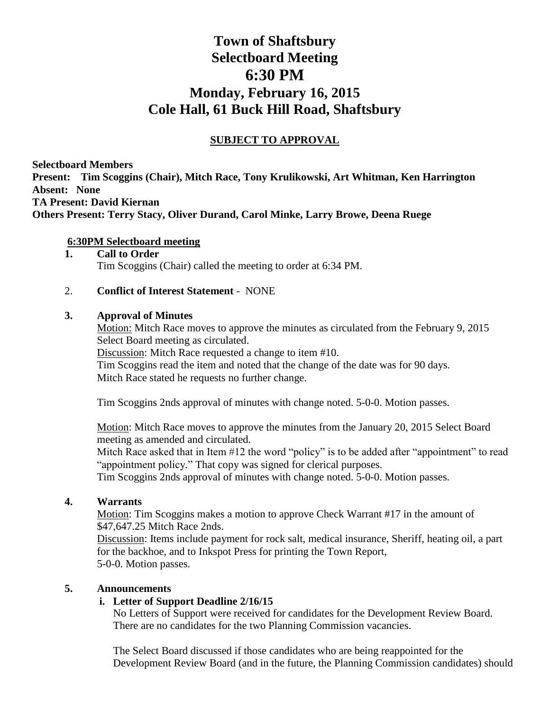# **Town of Shaftsbury Selectboard Meeting 6:30 PM Monday, February 16, 2015 Cole Hall, 61 Buck Hill Road, Shaftsbury**

# **SUBJECT TO APPROVAL**

**Selectboard Members Present: Tim Scoggins (Chair), Mitch Race, Tony Krulikowski, Art Whitman, Ken Harrington Absent: None TA Present: David Kiernan Others Present: Terry Stacy, Oliver Durand, Carol Minke, Larry Browe, Deena Ruege**

## **6:30PM Selectboard meeting**

#### **1. Call to Order** Tim Scoggins (Chair) called the meeting to order at 6:34 PM.

#### 2. **Conflict of Interest Statement** - NONE

#### **3. Approval of Minutes**

Motion: Mitch Race moves to approve the minutes as circulated from the February 9, 2015 Select Board meeting as circulated.

Discussion: Mitch Race requested a change to item #10.

Tim Scoggins read the item and noted that the change of the date was for 90 days. Mitch Race stated he requests no further change.

Tim Scoggins 2nds approval of minutes with change noted. 5-0-0. Motion passes.

Motion: Mitch Race moves to approve the minutes from the January 20, 2015 Select Board meeting as amended and circulated.

Mitch Race asked that in Item #12 the word "policy" is to be added after "appointment" to read "appointment policy." That copy was signed for clerical purposes.

Tim Scoggins 2nds approval of minutes with change noted. 5-0-0. Motion passes.

## **4. Warrants**

Motion: Tim Scoggins makes a motion to approve Check Warrant #17 in the amount of \$47,647.25 Mitch Race 2nds.

Discussion: Items include payment for rock salt, medical insurance, Sheriff, heating oil, a part for the backhoe, and to Inkspot Press for printing the Town Report, 5-0-0. Motion passes.

#### **5. Announcements**

## **i. Letter of Support Deadline 2/16/15**

No Letters of Support were received for candidates for the Development Review Board. There are no candidates for the two Planning Commission vacancies.

The Select Board discussed if those candidates who are being reappointed for the Development Review Board (and in the future, the Planning Commission candidates) should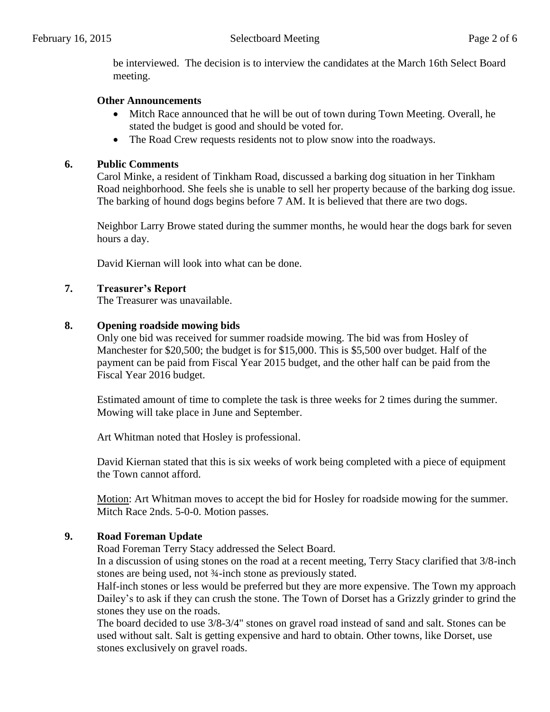be interviewed. The decision is to interview the candidates at the March 16th Select Board meeting.

#### **Other Announcements**

- Mitch Race announced that he will be out of town during Town Meeting. Overall, he stated the budget is good and should be voted for.
- The Road Crew requests residents not to plow snow into the roadways.

#### **6. Public Comments**

Carol Minke, a resident of Tinkham Road, discussed a barking dog situation in her Tinkham Road neighborhood. She feels she is unable to sell her property because of the barking dog issue. The barking of hound dogs begins before 7 AM. It is believed that there are two dogs.

Neighbor Larry Browe stated during the summer months, he would hear the dogs bark for seven hours a day.

David Kiernan will look into what can be done.

#### **7. Treasurer's Report**

The Treasurer was unavailable.

#### **8. Opening roadside mowing bids**

Only one bid was received for summer roadside mowing. The bid was from Hosley of Manchester for \$20,500; the budget is for \$15,000. This is \$5,500 over budget. Half of the payment can be paid from Fiscal Year 2015 budget, and the other half can be paid from the Fiscal Year 2016 budget.

Estimated amount of time to complete the task is three weeks for 2 times during the summer. Mowing will take place in June and September.

Art Whitman noted that Hosley is professional.

David Kiernan stated that this is six weeks of work being completed with a piece of equipment the Town cannot afford.

Motion: Art Whitman moves to accept the bid for Hosley for roadside mowing for the summer. Mitch Race 2nds. 5-0-0. Motion passes.

## **9. Road Foreman Update**

Road Foreman Terry Stacy addressed the Select Board.

In a discussion of using stones on the road at a recent meeting, Terry Stacy clarified that 3/8-inch stones are being used, not ¾-inch stone as previously stated.

Half-inch stones or less would be preferred but they are more expensive. The Town my approach Dailey's to ask if they can crush the stone. The Town of Dorset has a Grizzly grinder to grind the stones they use on the roads.

The board decided to use 3/8-3/4" stones on gravel road instead of sand and salt. Stones can be used without salt. Salt is getting expensive and hard to obtain. Other towns, like Dorset, use stones exclusively on gravel roads.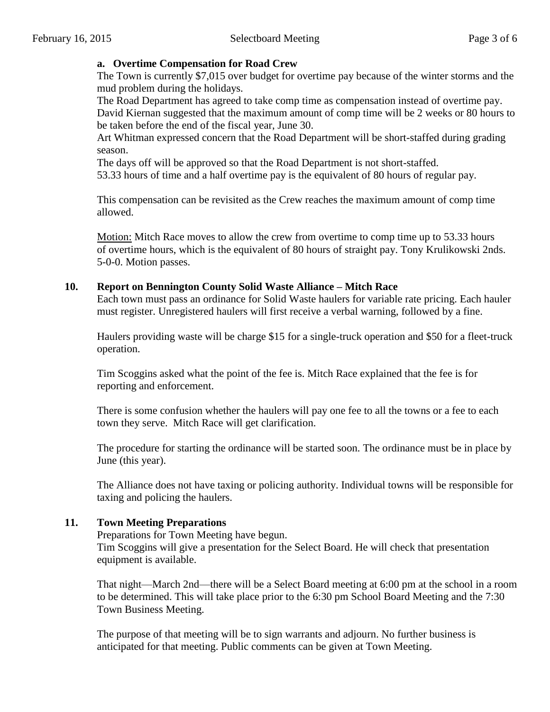## **a. Overtime Compensation for Road Crew**

The Town is currently \$7,015 over budget for overtime pay because of the winter storms and the mud problem during the holidays.

The Road Department has agreed to take comp time as compensation instead of overtime pay. David Kiernan suggested that the maximum amount of comp time will be 2 weeks or 80 hours to be taken before the end of the fiscal year, June 30.

Art Whitman expressed concern that the Road Department will be short-staffed during grading season.

The days off will be approved so that the Road Department is not short-staffed.

53.33 hours of time and a half overtime pay is the equivalent of 80 hours of regular pay.

This compensation can be revisited as the Crew reaches the maximum amount of comp time allowed.

Motion: Mitch Race moves to allow the crew from overtime to comp time up to 53.33 hours of overtime hours, which is the equivalent of 80 hours of straight pay. Tony Krulikowski 2nds. 5-0-0. Motion passes.

## **10. Report on Bennington County Solid Waste Alliance – Mitch Race**

Each town must pass an ordinance for Solid Waste haulers for variable rate pricing. Each hauler must register. Unregistered haulers will first receive a verbal warning, followed by a fine.

Haulers providing waste will be charge \$15 for a single-truck operation and \$50 for a fleet-truck operation.

Tim Scoggins asked what the point of the fee is. Mitch Race explained that the fee is for reporting and enforcement.

There is some confusion whether the haulers will pay one fee to all the towns or a fee to each town they serve. Mitch Race will get clarification.

The procedure for starting the ordinance will be started soon. The ordinance must be in place by June (this year).

The Alliance does not have taxing or policing authority. Individual towns will be responsible for taxing and policing the haulers.

## **11. Town Meeting Preparations**

Preparations for Town Meeting have begun. Tim Scoggins will give a presentation for the Select Board. He will check that presentation equipment is available.

That night—March 2nd—there will be a Select Board meeting at 6:00 pm at the school in a room to be determined. This will take place prior to the 6:30 pm School Board Meeting and the 7:30 Town Business Meeting.

The purpose of that meeting will be to sign warrants and adjourn. No further business is anticipated for that meeting. Public comments can be given at Town Meeting.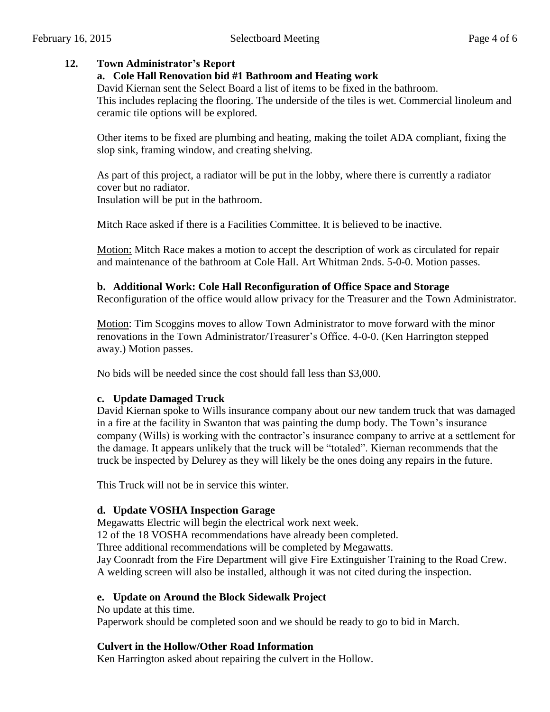## **12. Town Administrator's Report**

## **a. Cole Hall Renovation bid #1 Bathroom and Heating work**

David Kiernan sent the Select Board a list of items to be fixed in the bathroom. This includes replacing the flooring. The underside of the tiles is wet. Commercial linoleum and

ceramic tile options will be explored.

Other items to be fixed are plumbing and heating, making the toilet ADA compliant, fixing the slop sink, framing window, and creating shelving.

As part of this project, a radiator will be put in the lobby, where there is currently a radiator cover but no radiator.

Insulation will be put in the bathroom.

Mitch Race asked if there is a Facilities Committee. It is believed to be inactive.

Motion: Mitch Race makes a motion to accept the description of work as circulated for repair and maintenance of the bathroom at Cole Hall. Art Whitman 2nds. 5-0-0. Motion passes.

## **b. Additional Work: Cole Hall Reconfiguration of Office Space and Storage**

Reconfiguration of the office would allow privacy for the Treasurer and the Town Administrator.

Motion: Tim Scoggins moves to allow Town Administrator to move forward with the minor renovations in the Town Administrator/Treasurer's Office. 4-0-0. (Ken Harrington stepped away.) Motion passes.

No bids will be needed since the cost should fall less than \$3,000.

# **c. Update Damaged Truck**

David Kiernan spoke to Wills insurance company about our new tandem truck that was damaged in a fire at the facility in Swanton that was painting the dump body. The Town's insurance company (Wills) is working with the contractor's insurance company to arrive at a settlement for the damage. It appears unlikely that the truck will be "totaled". Kiernan recommends that the truck be inspected by Delurey as they will likely be the ones doing any repairs in the future.

This Truck will not be in service this winter.

# **d. Update VOSHA Inspection Garage**

Megawatts Electric will begin the electrical work next week.

12 of the 18 VOSHA recommendations have already been completed.

Three additional recommendations will be completed by Megawatts.

Jay Coonradt from the Fire Department will give Fire Extinguisher Training to the Road Crew. A welding screen will also be installed, although it was not cited during the inspection.

# **e. Update on Around the Block Sidewalk Project**

No update at this time.

Paperwork should be completed soon and we should be ready to go to bid in March.

# **Culvert in the Hollow/Other Road Information**

Ken Harrington asked about repairing the culvert in the Hollow.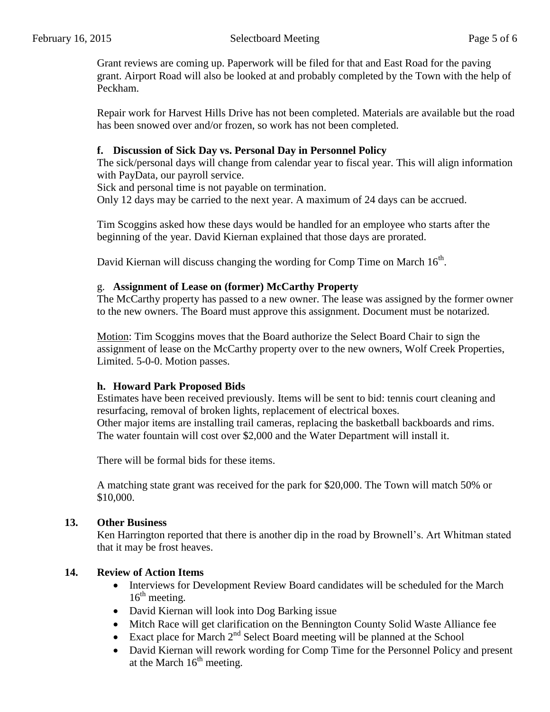Grant reviews are coming up. Paperwork will be filed for that and East Road for the paving grant. Airport Road will also be looked at and probably completed by the Town with the help of Peckham.

Repair work for Harvest Hills Drive has not been completed. Materials are available but the road has been snowed over and/or frozen, so work has not been completed.

## **f. Discussion of Sick Day vs. Personal Day in Personnel Policy**

The sick/personal days will change from calendar year to fiscal year. This will align information with PayData, our payroll service.

Sick and personal time is not payable on termination.

Only 12 days may be carried to the next year. A maximum of 24 days can be accrued.

Tim Scoggins asked how these days would be handled for an employee who starts after the beginning of the year. David Kiernan explained that those days are prorated.

David Kiernan will discuss changing the wording for Comp Time on March  $16<sup>th</sup>$ .

## g. **Assignment of Lease on (former) McCarthy Property**

The McCarthy property has passed to a new owner. The lease was assigned by the former owner to the new owners. The Board must approve this assignment. Document must be notarized.

Motion: Tim Scoggins moves that the Board authorize the Select Board Chair to sign the assignment of lease on the McCarthy property over to the new owners, Wolf Creek Properties, Limited. 5-0-0. Motion passes.

# **h. Howard Park Proposed Bids**

Estimates have been received previously. Items will be sent to bid: tennis court cleaning and resurfacing, removal of broken lights, replacement of electrical boxes. Other major items are installing trail cameras, replacing the basketball backboards and rims. The water fountain will cost over \$2,000 and the Water Department will install it.

There will be formal bids for these items.

A matching state grant was received for the park for \$20,000. The Town will match 50% or \$10,000.

## **13. Other Business**

Ken Harrington reported that there is another dip in the road by Brownell's. Art Whitman stated that it may be frost heaves.

# **14. Review of Action Items**

- Interviews for Development Review Board candidates will be scheduled for the March  $16<sup>th</sup>$  meeting.
- David Kiernan will look into Dog Barking issue
- Mitch Race will get clarification on the Bennington County Solid Waste Alliance fee
- Exact place for March  $2<sup>nd</sup>$  Select Board meeting will be planned at the School
- David Kiernan will rework wording for Comp Time for the Personnel Policy and present at the March  $16<sup>th</sup>$  meeting.